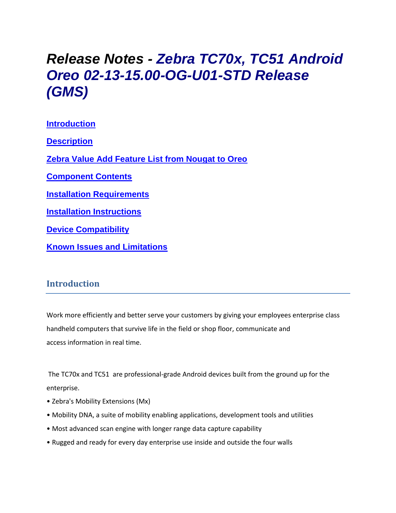# *Release Notes - Zebra TC70x, TC51 Android Oreo 02-13-15.00-OG-U01-STD Release (GMS)*

**[Introduction](#page-0-0) [Description](#page-0-1) [Zebra Value Add Feature List from Nougat to Oreo](#page-1-0) [Component Contents](#page-2-0) [Installation Requirements](#page-7-0) [Installation Instructions](#page-9-0) [Device Compatibility](#page-12-0) Known [Issues and Limitations](#page-13-0)**

### <span id="page-0-0"></span>**Introduction**

Work more efficiently and better serve your customers by giving your employees enterprise class handheld computers that survive life in the field or shop floor, communicate and access information in real time.

The TC70x and TC51 are professional-grade Android devices built from the ground up for the enterprise.

- Zebra's Mobility Extensions (Mx)
- Mobility DNA, a suite of mobility enabling applications, development tools and utilities
- Most advanced scan engine with longer range data capture capability
- <span id="page-0-1"></span>• Rugged and ready for every day enterprise use inside and outside the four walls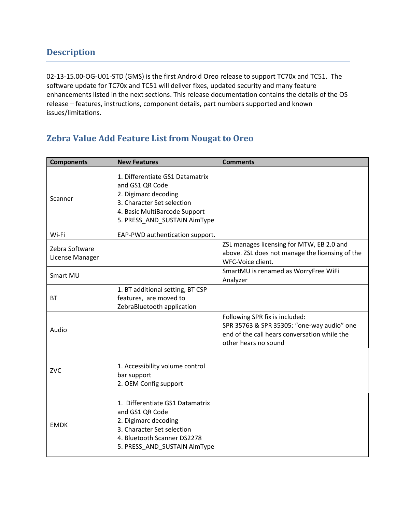02-13-15.00-OG-U01-STD (GMS) is the first Android Oreo release to support TC70x and TC51. The software update for TC70x and TC51 will deliver fixes, updated security and many feature enhancements listed in the next sections. This release documentation contains the details of the OS release – features, instructions, component details, part numbers supported and known issues/limitations.

# <span id="page-1-0"></span>**Zebra Value Add Feature List from Nougat to Oreo**

| <b>Components</b>                 | <b>New Features</b>                                                                                                                                                       | <b>Comments</b>                                                                                                                                      |
|-----------------------------------|---------------------------------------------------------------------------------------------------------------------------------------------------------------------------|------------------------------------------------------------------------------------------------------------------------------------------------------|
| Scanner                           | 1. Differentiate GS1 Datamatrix<br>and GS1 QR Code<br>2. Digimarc decoding<br>3. Character Set selection<br>4. Basic MultiBarcode Support<br>5. PRESS AND SUSTAIN AimType |                                                                                                                                                      |
| Wi-Fi                             | EAP-PWD authentication support.                                                                                                                                           |                                                                                                                                                      |
| Zebra Software<br>License Manager |                                                                                                                                                                           | ZSL manages licensing for MTW, EB 2.0 and<br>above. ZSL does not manage the licensing of the<br>WFC-Voice client.                                    |
| Smart MU                          |                                                                                                                                                                           | SmartMU is renamed as WorryFree WiFi<br>Analyzer                                                                                                     |
| <b>BT</b>                         | 1. BT additional setting, BT CSP<br>features, are moved to<br>ZebraBluetooth application                                                                                  |                                                                                                                                                      |
| Audio                             |                                                                                                                                                                           | Following SPR fix is included:<br>SPR 35763 & SPR 35305: "one-way audio" one<br>end of the call hears conversation while the<br>other hears no sound |
| ZVC                               | 1. Accessibility volume control<br>bar support<br>2. OEM Config support                                                                                                   |                                                                                                                                                      |
| <b>EMDK</b>                       | 1. Differentiate GS1 Datamatrix<br>and GS1 QR Code<br>2. Digimarc decoding<br>3. Character Set selection<br>4. Bluetooth Scanner DS2278<br>5. PRESS_AND_SUSTAIN AimType   |                                                                                                                                                      |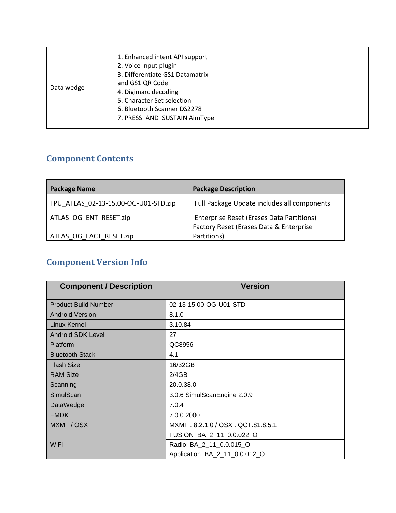| 7. PRESS AND SUSTAIN AimType |
|------------------------------|
|------------------------------|

# <span id="page-2-0"></span>**Component Contents**

| <b>Package Name</b>                  | <b>Package Description</b>                  |
|--------------------------------------|---------------------------------------------|
| FPU ATLAS 02-13-15.00-OG-U01-STD.zip | Full Package Update includes all components |
| ATLAS OG ENT RESET.zip               | Enterprise Reset (Erases Data Partitions)   |
|                                      | Factory Reset (Erases Data & Enterprise     |
| ATLAS OG FACT RESET.zip              | Partitions)                                 |

# **Component Version Info**

| <b>Component / Description</b> | <b>Version</b>                    |
|--------------------------------|-----------------------------------|
| <b>Product Build Number</b>    | 02-13-15.00-OG-U01-STD            |
| <b>Android Version</b>         | 8.1.0                             |
| Linux Kernel                   | 3.10.84                           |
| <b>Android SDK Level</b>       | 27                                |
| Platform                       | QC8956                            |
| <b>Bluetooth Stack</b>         | 4.1                               |
| <b>Flash Size</b>              | 16/32GB                           |
| <b>RAM Size</b>                | 2/4GB                             |
| Scanning                       | 20.0.38.0                         |
| SimulScan                      | 3.0.6 SimulScanEngine 2.0.9       |
| DataWedge                      | 7.0.4                             |
| <b>EMDK</b>                    | 7.0.0.2000                        |
| MXMF / OSX                     | MXMF: 8.2.1.0 / OSX: QCT.81.8.5.1 |
|                                | FUSION_BA_2_11_0.0.022_O          |
| WiFi                           | Radio: BA_2_11_0.0.015_O          |
|                                | Application: BA_2_11_0.0.012_O    |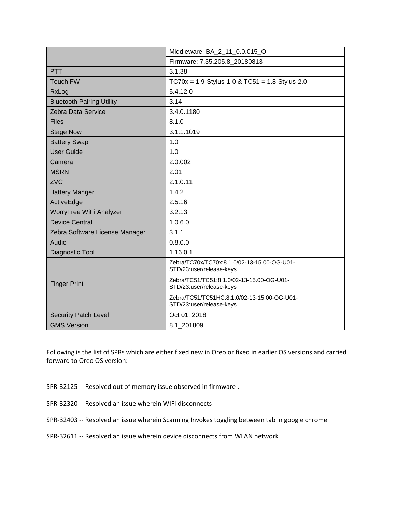|                                  | Middleware: BA_2_11_0.0.015_O                                           |  |
|----------------------------------|-------------------------------------------------------------------------|--|
|                                  | Firmware: 7.35.205.8_20180813                                           |  |
| <b>PTT</b>                       | 3.1.38                                                                  |  |
| <b>Touch FW</b>                  | $TC70x = 1.9-Stylus-1-0 & TC51 = 1.8-Stylus-2.0$                        |  |
| RxLog                            | 5.4.12.0                                                                |  |
| <b>Bluetooth Pairing Utility</b> | 3.14                                                                    |  |
| Zebra Data Service               | 3.4.0.1180                                                              |  |
| <b>Files</b>                     | 8.1.0                                                                   |  |
| <b>Stage Now</b>                 | 3.1.1.1019                                                              |  |
| <b>Battery Swap</b>              | 1.0                                                                     |  |
| <b>User Guide</b>                | 1.0                                                                     |  |
| Camera                           | 2.0.002                                                                 |  |
| <b>MSRN</b>                      | 2.01                                                                    |  |
| <b>ZVC</b>                       | 2.1.0.11                                                                |  |
| <b>Battery Manger</b>            | 1.4.2                                                                   |  |
| ActiveEdge                       | 2.5.16                                                                  |  |
| WorryFree WiFi Analyzer          | 3.2.13                                                                  |  |
| <b>Device Central</b>            | 1.0.6.0                                                                 |  |
| Zebra Software License Manager   | 3.1.1                                                                   |  |
| Audio                            | 0.8.0.0                                                                 |  |
| Diagnostic Tool                  | 1.16.0.1                                                                |  |
|                                  | Zebra/TC70x/TC70x:8.1.0/02-13-15.00-OG-U01-<br>STD/23:user/release-keys |  |
| <b>Finger Print</b>              | Zebra/TC51/TC51:8.1.0/02-13-15.00-OG-U01-<br>STD/23:user/release-keys   |  |
|                                  | Zebra/TC51/TC51HC:8.1.0/02-13-15.00-OG-U01-<br>STD/23:user/release-keys |  |
| <b>Security Patch Level</b>      | Oct 01, 2018                                                            |  |
| <b>GMS Version</b>               | 8.1 201809                                                              |  |

Following is the list of SPRs which are either fixed new in Oreo or fixed in earlier OS versions and carried forward to Oreo OS version:

- SPR-32125 -- Resolved out of memory issue observed in firmware .
- SPR-32320 -- Resolved an issue wherein WIFI disconnects
- SPR-32403 -- Resolved an issue wherein Scanning Invokes toggling between tab in google chrome
- SPR-32611 -- Resolved an issue wherein device disconnects from WLAN network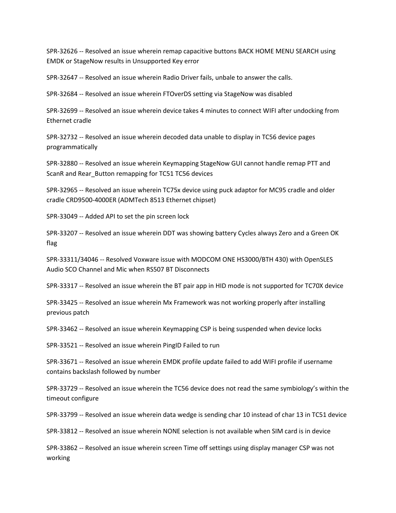SPR-32626 -- Resolved an issue wherein remap capacitive buttons BACK HOME MENU SEARCH using EMDK or StageNow results in Unsupported Key error

SPR-32647 -- Resolved an issue wherein Radio Driver fails, unbale to answer the calls.

SPR-32684 -- Resolved an issue wherein FTOverDS setting via StageNow was disabled

SPR-32699 -- Resolved an issue wherein device takes 4 minutes to connect WIFI after undocking from Ethernet cradle

SPR-32732 -- Resolved an issue wherein decoded data unable to display in TC56 device pages programmatically

SPR-32880 -- Resolved an issue wherein Keymapping StageNow GUI cannot handle remap PTT and ScanR and Rear\_Button remapping for TC51 TC56 devices

SPR-32965 -- Resolved an issue wherein TC75x device using puck adaptor for MC95 cradle and older cradle CRD9500-4000ER (ADMTech 8513 Ethernet chipset)

SPR-33049 -- Added API to set the pin screen lock

SPR-33207 -- Resolved an issue wherein DDT was showing battery Cycles always Zero and a Green OK flag

SPR-33311/34046 -- Resolved Voxware issue with MODCOM ONE HS3000/BTH 430) with OpenSLES Audio SCO Channel and Mic when RS507 BT Disconnects

SPR-33317 -- Resolved an issue wherein the BT pair app in HID mode is not supported for TC70X device

SPR-33425 -- Resolved an issue wherein Mx Framework was not working properly after installing previous patch

SPR-33462 -- Resolved an issue wherein Keymapping CSP is being suspended when device locks

SPR-33521 -- Resolved an issue wherein PingID Failed to run

SPR-33671 -- Resolved an issue wherein EMDK profile update failed to add WIFI profile if username contains backslash followed by number

SPR-33729 -- Resolved an issue wherein the TC56 device does not read the same symbiology's within the timeout configure

SPR-33799 -- Resolved an issue wherein data wedge is sending char 10 instead of char 13 in TC51 device

SPR-33812 -- Resolved an issue wherein NONE selection is not available when SIM card is in device

SPR-33862 -- Resolved an issue wherein screen Time off settings using display manager CSP was not working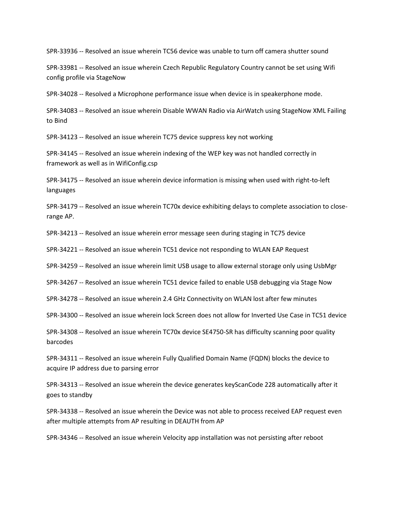SPR-33936 -- Resolved an issue wherein TC56 device was unable to turn off camera shutter sound

SPR-33981 -- Resolved an issue wherein Czech Republic Regulatory Country cannot be set using Wifi config profile via StageNow

SPR-34028 -- Resolved a Microphone performance issue when device is in speakerphone mode.

SPR-34083 -- Resolved an issue wherein Disable WWAN Radio via AirWatch using StageNow XML Failing to Bind

SPR-34123 -- Resolved an issue wherein TC75 device suppress key not working

SPR-34145 -- Resolved an issue wherein indexing of the WEP key was not handled correctly in framework as well as in WifiConfig.csp

SPR-34175 -- Resolved an issue wherein device information is missing when used with right-to-left languages

SPR-34179 -- Resolved an issue wherein TC70x device exhibiting delays to complete association to closerange AP.

SPR-34213 -- Resolved an issue wherein error message seen during staging in TC75 device

SPR-34221 -- Resolved an issue wherein TC51 device not responding to WLAN EAP Request

SPR-34259 -- Resolved an issue wherein limit USB usage to allow external storage only using UsbMgr

SPR-34267 -- Resolved an issue wherein TC51 device failed to enable USB debugging via Stage Now

SPR-34278 -- Resolved an issue wherein 2.4 GHz Connectivity on WLAN lost after few minutes

SPR-34300 -- Resolved an issue wherein lock Screen does not allow for Inverted Use Case in TC51 device

SPR-34308 -- Resolved an issue wherein TC70x device SE4750-SR has difficulty scanning poor quality barcodes

SPR-34311 -- Resolved an issue wherein Fully Qualified Domain Name (FQDN) blocks the device to acquire IP address due to parsing error

SPR-34313 -- Resolved an issue wherein the device generates keyScanCode 228 automatically after it goes to standby

SPR-34338 -- Resolved an issue wherein the Device was not able to process received EAP request even after multiple attempts from AP resulting in DEAUTH from AP

SPR-34346 -- Resolved an issue wherein Velocity app installation was not persisting after reboot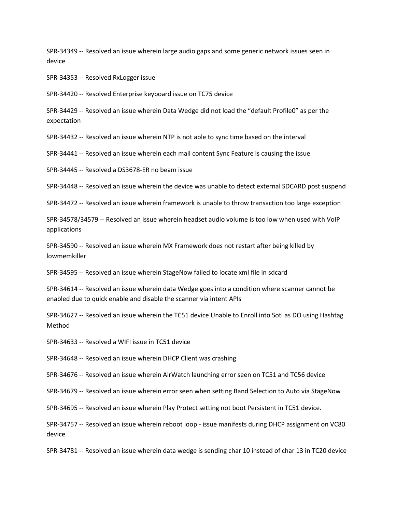SPR-34349 -- Resolved an issue wherein large audio gaps and some generic network issues seen in device

SPR-34353 -- Resolved RxLogger issue

SPR-34420 -- Resolved Enterprise keyboard issue on TC75 device

SPR-34429 -- Resolved an issue wherein Data Wedge did not load the "default Profile0" as per the expectation

SPR-34432 -- Resolved an issue wherein NTP is not able to sync time based on the interval

SPR-34441 -- Resolved an issue wherein each mail content Sync Feature is causing the issue

SPR-34445 -- Resolved a DS3678-ER no beam issue

SPR-34448 -- Resolved an issue wherein the device was unable to detect external SDCARD post suspend

SPR-34472 -- Resolved an issue wherein framework is unable to throw transaction too large exception

SPR-34578/34579 -- Resolved an issue wherein headset audio volume is too low when used with VoIP applications

SPR-34590 -- Resolved an issue wherein MX Framework does not restart after being killed by lowmemkiller

SPR-34595 -- Resolved an issue wherein StageNow failed to locate xml file in sdcard

SPR-34614 -- Resolved an issue wherein data Wedge goes into a condition where scanner cannot be enabled due to quick enable and disable the scanner via intent APIs

SPR-34627 -- Resolved an issue wherein the TC51 device Unable to Enroll into Soti as DO using Hashtag Method

SPR-34633 -- Resolved a WIFI issue in TC51 device

SPR-34648 -- Resolved an issue wherein DHCP Client was crashing

SPR-34676 -- Resolved an issue wherein AirWatch launching error seen on TC51 and TC56 device

SPR-34679 -- Resolved an issue wherein error seen when setting Band Selection to Auto via StageNow

SPR-34695 -- Resolved an issue wherein Play Protect setting not boot Persistent in TC51 device.

SPR-34757 -- Resolved an issue wherein reboot loop - issue manifests during DHCP assignment on VC80 device

SPR-34781 -- Resolved an issue wherein data wedge is sending char 10 instead of char 13 in TC20 device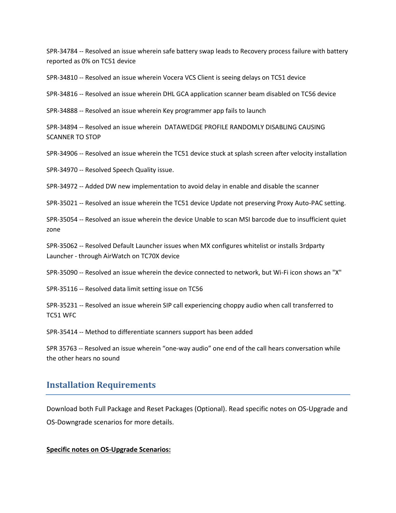SPR-34784 -- Resolved an issue wherein safe battery swap leads to Recovery process failure with battery reported as 0% on TC51 device

SPR-34810 -- Resolved an issue wherein Vocera VCS Client is seeing delays on TC51 device

SPR-34816 -- Resolved an issue wherein DHL GCA application scanner beam disabled on TC56 device

SPR-34888 -- Resolved an issue wherein Key programmer app fails to launch

SPR-34894 -- Resolved an issue wherein DATAWEDGE PROFILE RANDOMLY DISABLING CAUSING SCANNER TO STOP

SPR-34906 -- Resolved an issue wherein the TC51 device stuck at splash screen after velocity installation

SPR-34970 -- Resolved Speech Quality issue.

SPR-34972 -- Added DW new implementation to avoid delay in enable and disable the scanner

SPR-35021 -- Resolved an issue wherein the TC51 device Update not preserving Proxy Auto-PAC setting.

SPR-35054 -- Resolved an issue wherein the device Unable to scan MSI barcode due to insufficient quiet zone

SPR-35062 -- Resolved Default Launcher issues when MX configures whitelist or installs 3rdparty Launcher - through AirWatch on TC70X device

SPR-35090 -- Resolved an issue wherein the device connected to network, but Wi-Fi icon shows an "X"

SPR-35116 -- Resolved data limit setting issue on TC56

SPR-35231 -- Resolved an issue wherein SIP call experiencing choppy audio when call transferred to TC51 WFC

SPR-35414 -- Method to differentiate scanners support has been added

SPR 35763 -- Resolved an issue wherein "one-way audio" one end of the call hears conversation while the other hears no sound

#### <span id="page-7-0"></span>**Installation Requirements**

Download both Full Package and Reset Packages (Optional). Read specific notes on OS-Upgrade and OS-Downgrade scenarios for more details.

#### **Specific notes on OS-Upgrade Scenarios:**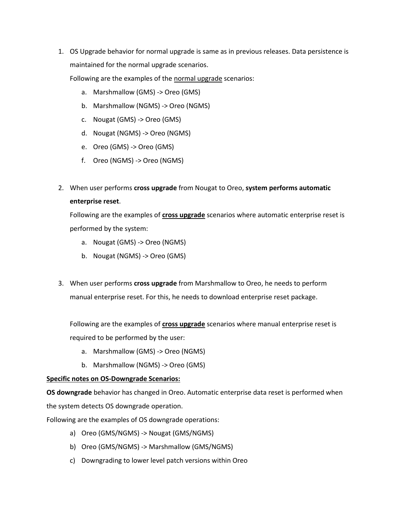1. OS Upgrade behavior for normal upgrade is same as in previous releases. Data persistence is maintained for the normal upgrade scenarios.

Following are the examples of the normal upgrade scenarios:

- a. Marshmallow (GMS) -> Oreo (GMS)
- b. Marshmallow (NGMS) -> Oreo (NGMS)
- c. Nougat (GMS) -> Oreo (GMS)
- d. Nougat (NGMS) -> Oreo (NGMS)
- e. Oreo (GMS) -> Oreo (GMS)
- f. Oreo (NGMS) -> Oreo (NGMS)
- 2. When user performs **cross upgrade** from Nougat to Oreo, **system performs automatic enterprise reset**.

Following are the examples of **cross upgrade** scenarios where automatic enterprise reset is performed by the system:

- a. Nougat (GMS) -> Oreo (NGMS)
- b. Nougat (NGMS) -> Oreo (GMS)
- 3. When user performs **cross upgrade** from Marshmallow to Oreo, he needs to perform manual enterprise reset. For this, he needs to download enterprise reset package.

Following are the examples of **cross upgrade** scenarios where manual enterprise reset is required to be performed by the user:

- a. Marshmallow (GMS) -> Oreo (NGMS)
- b. Marshmallow (NGMS) -> Oreo (GMS)

#### **Specific notes on OS-Downgrade Scenarios:**

**OS downgrade** behavior has changed in Oreo. Automatic enterprise data reset is performed when the system detects OS downgrade operation.

Following are the examples of OS downgrade operations:

- a) Oreo (GMS/NGMS) -> Nougat (GMS/NGMS)
- b) Oreo (GMS/NGMS) -> Marshmallow (GMS/NGMS)
- c) Downgrading to lower level patch versions within Oreo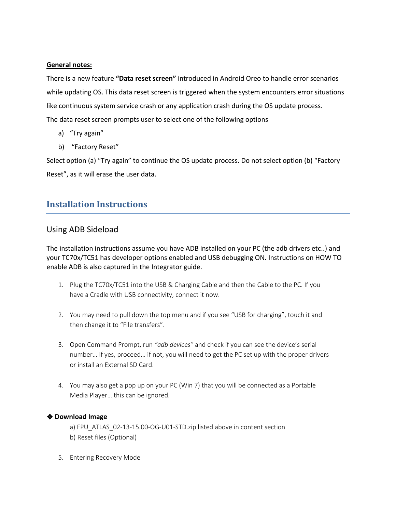#### **General notes:**

There is a new feature **"Data reset screen"** introduced in Android Oreo to handle error scenarios while updating OS. This data reset screen is triggered when the system encounters error situations like continuous system service crash or any application crash during the OS update process. The data reset screen prompts user to select one of the following options

- a) "Try again"
- b) "Factory Reset"

Select option (a) "Try again" to continue the OS update process. Do not select option (b) "Factory Reset", as it will erase the user data.

## <span id="page-9-0"></span>**Installation Instructions**

#### Using ADB Sideload

The installation instructions assume you have ADB installed on your PC (the adb drivers etc..) and your TC70x/TC51 has developer options enabled and USB debugging ON. Instructions on HOW TO enable ADB is also captured in the Integrator guide.

- 1. Plug the TC70x/TC51 into the USB & Charging Cable and then the Cable to the PC. If you have a Cradle with USB connectivity, connect it now.
- 2. You may need to pull down the top menu and if you see "USB for charging", touch it and then change it to "File transfers".
- 3. Open Command Prompt, run *"adb devices"* and check if you can see the device's serial number… If yes, proceed… if not, you will need to get the PC set up with the proper drivers or install an External SD Card.
- 4. You may also get a pop up on your PC (Win 7) that you will be connected as a Portable Media Player… this can be ignored.

#### ❖ **Download Image**

a) FPU\_ATLAS\_02-13-15.00-OG-U01-STD.zip listed above in content section b) Reset files (Optional)

5. Entering Recovery Mode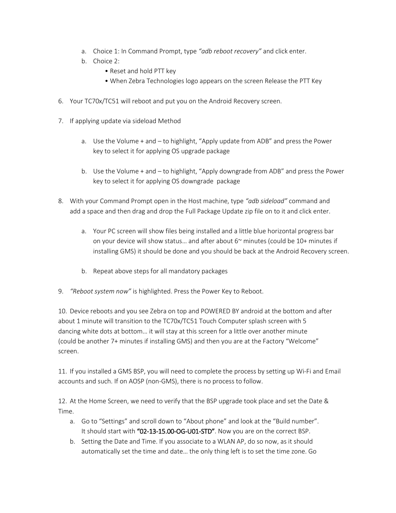- a. Choice 1: In Command Prompt, type *"adb reboot recovery"* and click enter.
- b. Choice 2:
	- Reset and hold PTT key
	- When Zebra Technologies logo appears on the screen Release the PTT Key
- 6. Your TC70x/TC51 will reboot and put you on the Android Recovery screen.
- 7. If applying update via sideload Method
	- a. Use the Volume + and to highlight, "Apply update from ADB" and press the Power key to select it for applying OS upgrade package
	- b. Use the Volume + and to highlight, "Apply downgrade from ADB" and press the Power key to select it for applying OS downgrade package
- 8. With your Command Prompt open in the Host machine, type *"adb sideload"* command and add a space and then drag and drop the Full Package Update zip file on to it and click enter.
	- a. Your PC screen will show files being installed and a little blue horizontal progress bar on your device will show status... and after about  $6<sup>th</sup>$  minutes (could be 10+ minutes if installing GMS) it should be done and you should be back at the Android Recovery screen.
	- b. Repeat above steps for all mandatory packages
- 9. *"Reboot system now"* is highlighted. Press the Power Key to Reboot.

10. Device reboots and you see Zebra on top and POWERED BY android at the bottom and after about 1 minute will transition to the TC70x/TC51 Touch Computer splash screen with 5 dancing white dots at bottom… it will stay at this screen for a little over another minute (could be another 7+ minutes if installing GMS) and then you are at the Factory "Welcome" screen.

11. If you installed a GMS BSP, you will need to complete the process by setting up Wi‐Fi and Email accounts and such. If on AOSP (non‐GMS), there is no process to follow.

12. At the Home Screen, we need to verify that the BSP upgrade took place and set the Date & Time.

- a. Go to "Settings" and scroll down to "About phone" and look at the "Build number". It should start with "02-13-15.00-OG-U01-STD". Now you are on the correct BSP.
- b. Setting the Date and Time. If you associate to a WLAN AP, do so now, as it should automatically set the time and date… the only thing left is to set the time zone. Go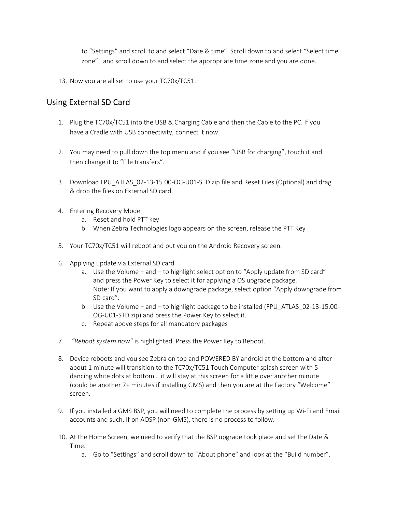to "Settings" and scroll to and select "Date & time". Scroll down to and select "Select time zone", and scroll down to and select the appropriate time zone and you are done.

13. Now you are all set to use your TC70x/TC51.

### Using External SD Card

- 1. Plug the TC70x/TC51 into the USB & Charging Cable and then the Cable to the PC. If you have a Cradle with USB connectivity, connect it now.
- 2. You may need to pull down the top menu and if you see "USB for charging", touch it and then change it to "File transfers".
- 3. Download FPU\_ATLAS\_02-13-15.00-OG-U01-STD.zip file and Reset Files (Optional) and drag & drop the files on External SD card.
- 4. Entering Recovery Mode
	- a. Reset and hold PTT key
	- b. When Zebra Technologies logo appears on the screen, release the PTT Key
- 5. Your TC70x/TC51 will reboot and put you on the Android Recovery screen.
- 6. Applying update via External SD card
	- a. Use the Volume + and to highlight select option to "Apply update from SD card" and press the Power Key to select it for applying a OS upgrade package. Note: If you want to apply a downgrade package, select option "Apply downgrade from SD card".
	- b. Use the Volume + and to highlight package to be installed (FPU\_ATLAS\_02-13-15.00- OG-U01-STD.zip) and press the Power Key to select it.
	- c. Repeat above steps for all mandatory packages
- 7. *"Reboot system now"* is highlighted. Press the Power Key to Reboot.
- 8. Device reboots and you see Zebra on top and POWERED BY android at the bottom and after about 1 minute will transition to the TC70x/TC51 Touch Computer splash screen with 5 dancing white dots at bottom… it will stay at this screen for a little over another minute (could be another 7+ minutes if installing GMS) and then you are at the Factory "Welcome" screen.
- 9. If you installed a GMS BSP, you will need to complete the process by setting up Wi-Fi and Email accounts and such. If on AOSP (non‐GMS), there is no process to follow.
- 10. At the Home Screen, we need to verify that the BSP upgrade took place and set the Date & Time.
	- a. Go to "Settings" and scroll down to "About phone" and look at the "Build number".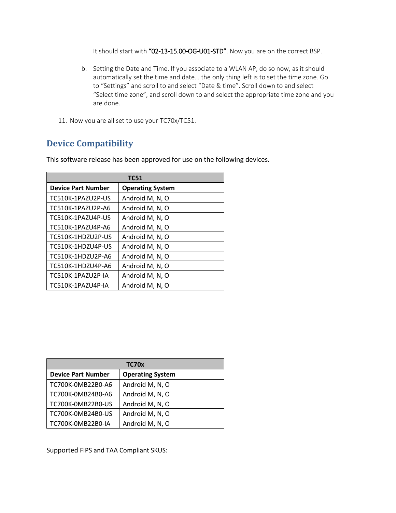It should start with "02-13-15.00-OG-U01-STD". Now you are on the correct BSP.

- b. Setting the Date and Time. If you associate to a WLAN AP, do so now, as it should automatically set the time and date… the only thing left is to set the time zone. Go to "Settings" and scroll to and select "Date & time". Scroll down to and select "Select time zone", and scroll down to and select the appropriate time zone and you are done.
- 11. Now you are all set to use your TC70x/TC51.

# <span id="page-12-0"></span>**Device Compatibility**

| <b>TC51</b>               |                         |  |
|---------------------------|-------------------------|--|
| <b>Device Part Number</b> | <b>Operating System</b> |  |
| TC510K-1PAZU2P-US         | Android M, N, O         |  |
| TC510K-1PAZU2P-A6         | Android M, N, O         |  |
| TC510K-1PAZU4P-US         | Android M, N, O         |  |
| TC510K-1PAZU4P-A6         | Android M, N, O         |  |
| TC510K-1HDZU2P-US         | Android M, N, O         |  |
| TC510K-1HDZU4P-US         | Android M, N, O         |  |
| TC510K-1HDZU2P-A6         | Android M, N, O         |  |
| TC510K-1HDZU4P-A6         | Android M, N, O         |  |
| TC510K-1PAZU2P-IA         | Android M, N, O         |  |
| TC510K-1PAZU4P-IA         | Android M, N, O         |  |

This software release has been approved for use on the following devices.

| TC70x                     |                         |  |  |
|---------------------------|-------------------------|--|--|
| <b>Device Part Number</b> | <b>Operating System</b> |  |  |
| TC700K-0MB22B0-A6         | Android M, N, O         |  |  |
| TC700K-0MB24B0-A6         | Android M, N, O         |  |  |
| TC700K-0MB22B0-US         | Android M, N, O         |  |  |
| TC700K-0MB24B0-US         | Android M, N, O         |  |  |
| TC700K-0MB22B0-IA         | Android M, N, O         |  |  |

Supported FIPS and TAA Compliant SKUS: